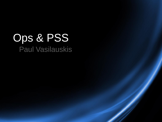# Ops & PSS Paul Vasilauskis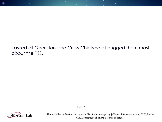#### I asked all Operators and Crew Chiefs what bugged them most about the PSS.



Thomas Jefferson National Accelerator Facility is managed by Jefferson Science Associates, LLC, for the U.S. Department of Energy's Office of Science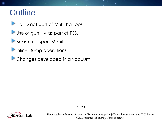### **Outline**

Hall D not part of Multi-hall ops.

- Use of gun HV as part of PSS.
- Beam Transport Monitor.
- **Inline Dump operations.**
- **Changes developed in a vacuum.**



Thomas Jefferson National Accelerator Facility is managed by Jefferson Science Associates, LLC, for the U.S. Department of Energy's Office of Science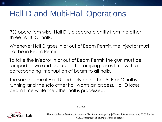### Hall D and Multi-Hall Operations

PSS operations wise, Hall D is a separate entity from the other three (A, B, C) halls.

Whenever Hall D goes in or out of Beam Permit, the Injector must not be in Beam Permit.

To take the Injector in or out of Beam Permit the gun must be ramped down and back up. This ramping takes time with a corresponding interruption of beam to **all** halls.

The same is true if Hall D and only one other A, B or C hall is running and the solo other hall wants an access. Hall D loses beam time while the other hall is processed.

3 of 55

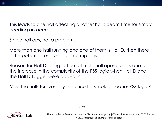This leads to one hall affecting another hall's beam time for simply needing an access.

Single hall ops, not a problem.

More than one hall running and one of them is Hall D, then there is the potential for cross-hall interruptions.

Reason for Hall D being left out of multi-hall operations is due to the increase in the complexity of the PSS logic when Hall D and the Hall D Tagger were added in.

Must the halls forever pay the price for simpler, cleaner PSS logic?



Thomas Jefferson National Accelerator Facility is managed by Jefferson Science Associates, LLC, for the U.S. Department of Energy's Office of Science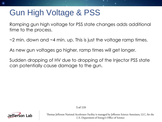### Gun High Voltage & PSS

Ramping gun high voltage for PSS state changes adds additional time to the process.

 $\sim$ 2 min. down and  $\sim$ 4 min. up. This is just the voltage ramp times.

As new gun voltages go higher, ramp times will get longer.

Sudden dropping of HV due to dropping of the Injector PSS state can potentially cause damage to the gun.



Thomas Jefferson National Accelerator Facility is managed by Jefferson Science Associates, LLC, for the U.S. Department of Energy's Office of Science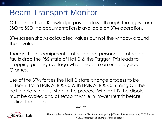### Beam Transport Monitor

Other than Tribal Knowledge passed down through the ages from SSO to SSO, no documentation is available on BTM operation.

BTM screen shows calculated values but not the window around these values.

Though it is for equipment protection not personnel protection, faults drop the PSS state of Hall D & the Tagger. This leads to dropping gun high voltage which leads to an unhappy Joe Grames.

Use of the BTM forces the Hall D state change process to be different from Halls A, B & C. With Halls A, B & C, turning On the hall dipole is the last step in the process. With Hall D the dipole must be cycled and at setpoint while in Power Permit before pulling the stopper.

6 of 167

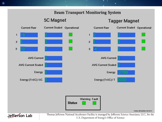#### **Beam Transport Monitoring System**

**5C Magnet** 



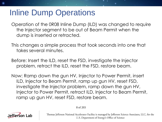### Inline Dump Operations

Operation of the 0R08 Inline Dump (ILD) was changed to require the Injector segment to be out of Beam Permit when the dump is inserted or retracted.

This changes a simple process that took seconds into one that takes several minutes.

Before: Insert the ILD, reset the FSD, investigate the Injector problem, retract the ILD, reset the FSD, restore beam.

Now: Ramp down the gun HV, Injector to Power Permit, insert ILD, Injector to Beam Permit, ramp up gun HV, reset FSD, investigate the Injector problem, ramp down the gun HV, Injector to Power Permit, retract ILD, Injector to Beam Permit, ramp up gun HV, reset FSD, restore beam.

8 of 203

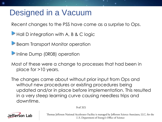### Designed in a Vacuum

Recent changes to the PSS have come as a surprise to Ops.

**Hall D integration with A, B & C logic** 

Beam Transport Monitor operation

Inline Dump (0R08) operation

Most of these were a change to processes that had been in place for >10 years.

The changes came about without prior input from Ops and without new procedures or existing procedures being updated and/or in place before implementation. This resulted in a very steep learning curve causing needless trips and downtime.

9 of 315

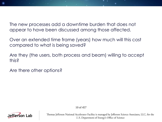The new processes add a downtime burden that does not appear to have been discussed among those affected.

Over an extended time frame (years) how much will this cost compared to what is being saved?

Are they (the users, both process and beam) willing to accept this?

Are there other options?



10 of 457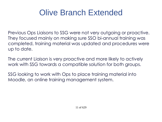## Olive Branch Extended

Previous Ops Liaisons to SSG were not very outgoing or proactive. They focused mainly on making sure SSO bi-annual training was completed, training material was updated and procedures were up to date.

The current Liaison is very proactive and more likely to actively work with SSG towards a compatible solution for both groups.

SSG looking to work with Ops to place training material into Moodle, an online training management system.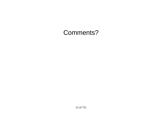### Comments?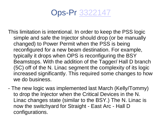Ops-Pr [3322147](https://logbooks.jlab.org/entry/3322147)

- This limitation is intentional. In order to keep the PSS logic simple and safe the Injector should drop (or be manually changed) to Power Permit when the PSS is being reconfigured for a new beam destination. For example, typically it drops when OPS is reconfiguring the BSY Beamstops. With the addition of the Tagger/ Hall D branch (5C) off of the N. Linac segment the complexity of its logic increased significantly. This required some changes to how we do business.
- The new logic was implemented last March (Kelly/Tommy) to drop the Injector when the Critical Devices in the N. Linac changes state (similar to the BSY.) The N. Linac is now the switchyard for Straight - East Arc - Hall D configurations.